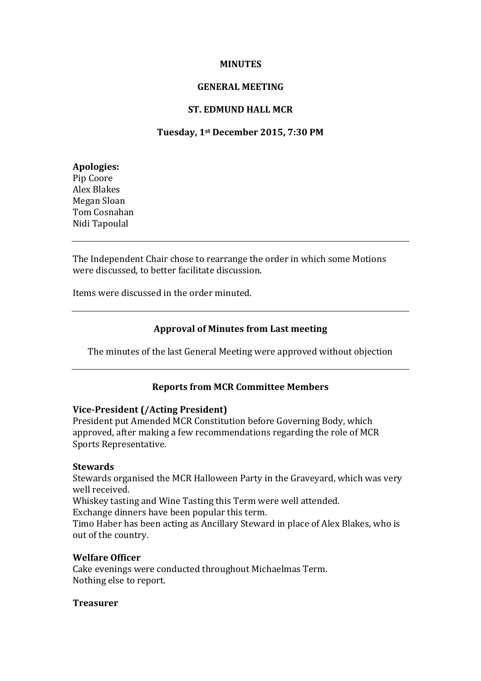### **MINUTES**

## **GENERAL MEETING**

## **ST. EDMUND HALL MCR**

## **Tuesday, 1st December 2015, 7:30 PM**

### **Apologies:** Pip Coore Alex Blakes Megan Sloan Tom Cosnahan Nidi Tapoulal

The Independent Chair chose to rearrange the order in which some Motions were discussed, to better facilitate discussion.

Items were discussed in the order minuted.

# **Approval of Minutes from Last meeting**

The minutes of the last General Meeting were approved without objection

# **Reports from MCR Committee Members**

#### **Vice-President (/Acting President)**

President put Amended MCR Constitution before Governing Body, which approved, after making a few recommendations regarding the role of MCR Sports Representative.

# **Stewards**

Stewards organised the MCR Halloween Party in the Graveyard, which was very well received.

Whiskey tasting and Wine Tasting this Term were well attended.

Exchange dinners have been popular this term.

Timo Haber has been acting as Ancillary Steward in place of Alex Blakes, who is out of the country.

# **Welfare Officer**

Cake evenings were conducted throughout Michaelmas Term. Nothing else to report.

# **Treasurer**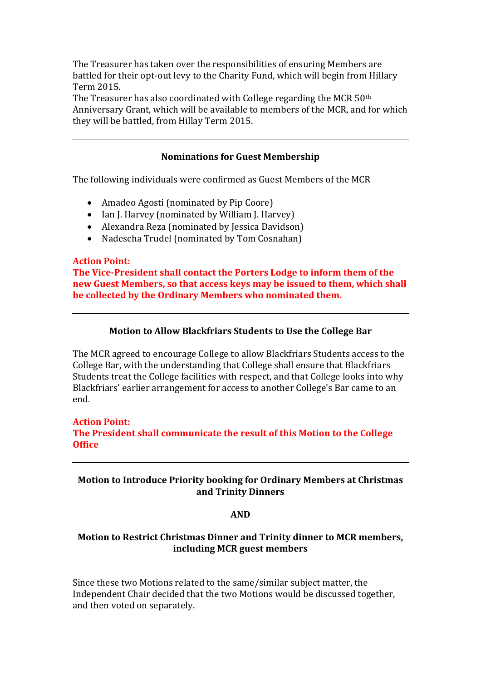The Treasurer has taken over the responsibilities of ensuring Members are battled for their opt-out levy to the Charity Fund, which will begin from Hillary Term 2015.

The Treasurer has also coordinated with College regarding the MCR 50<sup>th</sup> Anniversary Grant, which will be available to members of the MCR, and for which they will be battled, from Hillay Term 2015.

## **Nominations for Guest Membership**

The following individuals were confirmed as Guest Members of the MCR

- Amadeo Agosti (nominated by Pip Coore)
- Ian J. Harvey (nominated by William J. Harvey)
- Alexandra Reza (nominated by Jessica Davidson)
- Nadescha Trudel (nominated by Tom Cosnahan)

#### **Action Point:**

**The Vice-President shall contact the Porters Lodge to inform them of the new Guest Members, so that access keys may be issued to them, which shall be collected by the Ordinary Members who nominated them.**

# **Motion to Allow Blackfriars Students to Use the College Bar**

The MCR agreed to encourage College to allow Blackfriars Students access to the College Bar, with the understanding that College shall ensure that Blackfriars Students treat the College facilities with respect, and that College looks into why Blackfriars' earlier arrangement for access to another College's Bar came to an end.

# **Action Point: The President shall communicate the result of this Motion to the College Office**

# **Motion to Introduce Priority booking for Ordinary Members at Christmas and Trinity Dinners**

#### **AND**

# **Motion to Restrict Christmas Dinner and Trinity dinner to MCR members, including MCR guest members**

Since these two Motions related to the same/similar subject matter, the Independent Chair decided that the two Motions would be discussed together, and then voted on separately.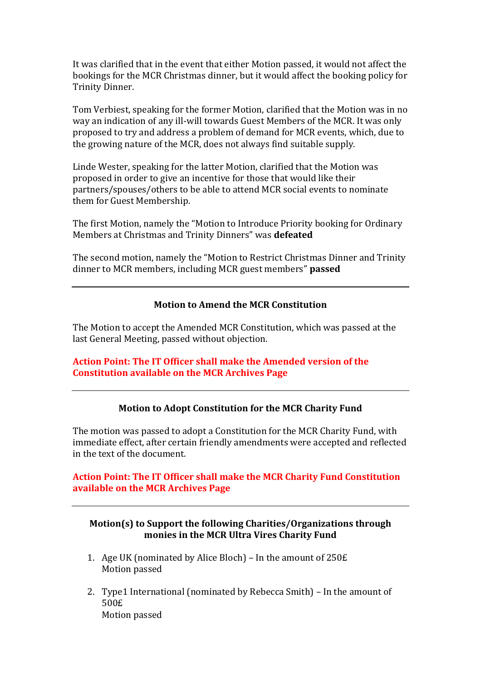It was clarified that in the event that either Motion passed, it would not affect the bookings for the MCR Christmas dinner, but it would affect the booking policy for Trinity Dinner.

Tom Verbiest, speaking for the former Motion, clarified that the Motion was in no way an indication of any ill-will towards Guest Members of the MCR. It was only proposed to try and address a problem of demand for MCR events, which, due to the growing nature of the MCR, does not always find suitable supply.

Linde Wester, speaking for the latter Motion, clarified that the Motion was proposed in order to give an incentive for those that would like their partners/spouses/others to be able to attend MCR social events to nominate them for Guest Membership.

The first Motion, namely the "Motion to Introduce Priority booking for Ordinary Members at Christmas and Trinity Dinners" was **defeated**

The second motion, namely the "Motion to Restrict Christmas Dinner and Trinity dinner to MCR members, including MCR guest members" **passed**

### **Motion to Amend the MCR Constitution**

The Motion to accept the Amended MCR Constitution, which was passed at the last General Meeting, passed without objection.

### **Action Point: The IT Officer shall make the Amended version of the Constitution available on the MCR Archives Page**

# **Motion to Adopt Constitution for the MCR Charity Fund**

The motion was passed to adopt a Constitution for the MCR Charity Fund, with immediate effect, after certain friendly amendments were accepted and reflected in the text of the document.

# **Action Point: The IT Officer shall make the MCR Charity Fund Constitution available on the MCR Archives Page**

# **Motion(s) to Support the following Charities/Organizations through monies in the MCR Ultra Vires Charity Fund**

- 1. Age UK (nominated by Alice Bloch) In the amount of 250£ Motion passed
- 2. Type1 International (nominated by Rebecca Smith) In the amount of 500£ Motion passed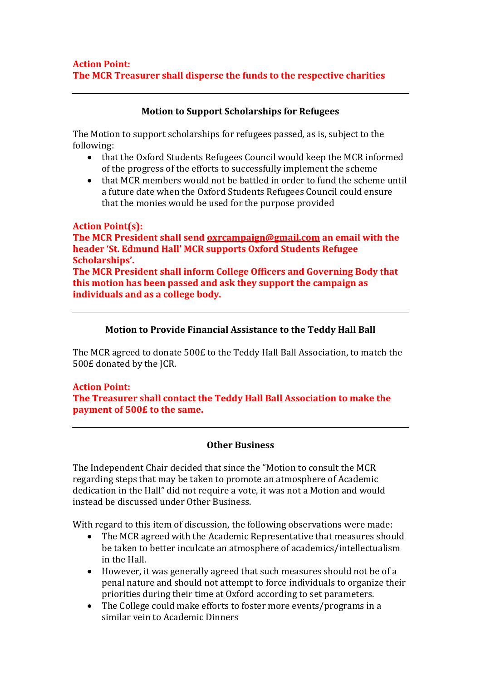# **Motion to Support Scholarships for Refugees**

The Motion to support scholarships for refugees passed, as is, subject to the following:

- that the Oxford Students Refugees Council would keep the MCR informed of the progress of the efforts to successfully implement the scheme
- that MCR members would not be battled in order to fund the scheme until a future date when the Oxford Students Refugees Council could ensure that the monies would be used for the purpose provided

# **Action Point(s):**

**The MCR President shall send [oxrcampaign@gmail.com](mailto:oxrcampaign@gmail.com) an email with the header 'St. Edmund Hall' MCR supports Oxford Students Refugee Scholarships'. The MCR President shall inform College Officers and Governing Body that** 

**this motion has been passed and ask they support the campaign as individuals and as a college body.** 

# **Motion to Provide Financial Assistance to the Teddy Hall Ball**

The MCR agreed to donate 500£ to the Teddy Hall Ball Association, to match the 500£ donated by the JCR.

# **Action Point:**

**The Treasurer shall contact the Teddy Hall Ball Association to make the payment of 500£ to the same.**

# **Other Business**

The Independent Chair decided that since the "Motion to consult the MCR regarding steps that may be taken to promote an atmosphere of Academic dedication in the Hall" did not require a vote, it was not a Motion and would instead be discussed under Other Business.

With regard to this item of discussion, the following observations were made:

- The MCR agreed with the Academic Representative that measures should be taken to better inculcate an atmosphere of academics/intellectualism in the Hall.
- However, it was generally agreed that such measures should not be of a penal nature and should not attempt to force individuals to organize their priorities during their time at Oxford according to set parameters.
- The College could make efforts to foster more events/programs in a similar vein to Academic Dinners